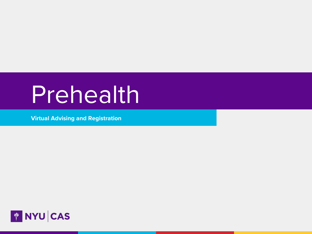# Prehealth

Virtual Advising and Registration

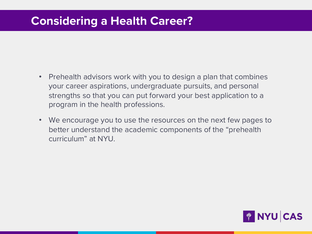# Considering a Health Career?

- Prehealth advisors work with you to design a plan that combines your career aspirations, undergraduate pursuits, and personal strengths so that you can put forward your best application to a program in the health professions.
- We encourage you to use the resources on the next few pages to better understand the academic components of the "prehealth curriculum" at NYU.

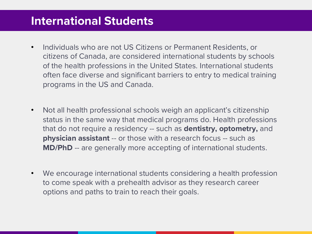# International Students

- Individuals who are not US Citizens or Permanent Residents, or citizens of Canada, are considered international students by schools of the health professions in the United States. International students often face diverse and significant barriers to entry to medical training programs in the US and Canada.
- Not all health professional schools weigh an applicant's citizenship status in the same way that medical programs do. Health professions that do not require a residency -- such as **dentistry, optometry,** and **physician assistant** -- or those with a research focus -- such as MD/PhD -- are generally more accepting of international students.
- We encourage international students considering a health profession to come speak with a prehealth advisor as they research career options and paths to train to reach their goals.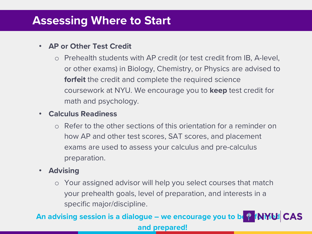## Assessing Where to Start

### • AP or Other Test Credit

o Prehealth students with AP credit (or test credit from IB, A-level, or other exams) in Biology, Chemistry, or Physics are advised to **forfeit** the credit and complete the required science coursework at NYU. We encourage you to keep test credit for math and psychology.

### • Calculus Readiness

o Refer to the other sections of this orientation for a reminder on how AP and other test scores, SAT scores, and placement exams are used to assess your calculus and pre-calculus preparation.

## • Advising

o Your assigned advisor will help you select courses that match your prehealth goals, level of preparation, and interests in a specific major/discipline.

An advising session is a dialogue – we encourage you to be  $\frac{d}{d}$  fNMbI CAS and prepared!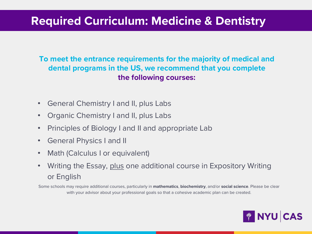# Required Curriculum: Medicine & Dentistry

To meet the entrance requirements for the majority of medical and dental programs in the US, we recommend that you complete the following courses:

- General Chemistry I and II, plus Labs
- Organic Chemistry I and II, plus Labs
- Principles of Biology I and II and appropriate Lab
- General Physics I and II
- Math (Calculus I or equivalent)
- Writing the Essay, plus one additional course in Expository Writing or English

Some schools may require additional courses, particularly in mathematics, biochemistry, and/or social science. Please be clear with your advisor about your professional goals so that a cohesive academic plan can be created.

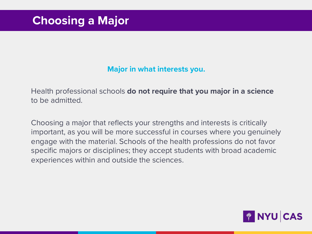## Major in what interests you.

Health professional schools do not require that you major in a science to be admitted.

Choosing a major that reflects your strengths and interests is critically important, as you will be more successful in courses where you genuinely engage with the material. Schools of the health professions do not favor specific majors or disciplines; they accept students with broad academic experiences within and outside the sciences.

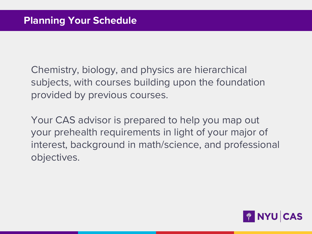Chemistry, biology, and physics are hierarchical subjects, with courses building upon the foundation provided by previous courses.

Your CAS advisor is prepared to help you map out your prehealth requirements in light of your major of interest, background in math/science, and professional objectives.

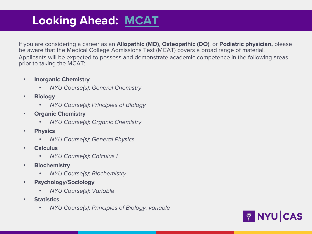# Looking Ahead: MCAT

If you are considering a career as an Allopathic (MD), Osteopathic (DO), or Podiatric physician be aware that the Medical College Admissions Test (MCAT) covers a broad range of material. Applicants will be expected to possess and demonstrate academic competence in the followi prior to taking the MCAT:

- Inorganic Chemistry
	- NYU Course(s): General Chemistry
- Biology
	- NYU Course(s): Principles of Biology
- Organic Chemistry
	- NYU Course(s): Organic Chemistry
- Physics
	- NYU Course(s): General Physics
- **Calculus** 
	- NYU Course(s): Calculus I
- Biochemistry
	- NYU Course(s): Biochemistry
- Psychology/Sociology
	- NYU Course(s): Variable
- Statistics
	- NYU Course(s): Principles of Biology, variable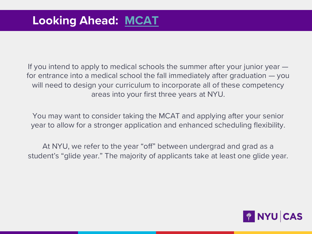# Looking Ahead: MCAT

If you intend to apply to medical schools the summer after your junior for entrance into a medical school the fall immediately after graduation will need to design your curriculum to incorporate all of these compe areas into your first three years at NYU.

You may want to consider taking the MCAT and applying after your senior. year to allow for a stronger application and enhanced scheduling flex

At NYU, we refer to the year "off" between undergrad and grad as student's "glide year." The majority of applicants take at least one glid

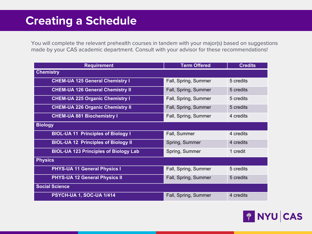# Creating a Schedule

You will complete the relevant prehealth courses in tandem with your major(s) based on suggestions made by your CAS academic department. Consult with your advisor for these recommendations!

| <b>Requirement</b>                           | <b>Term Offered</b>  | <b>Credits</b> |
|----------------------------------------------|----------------------|----------------|
| <b>Chemistry</b>                             |                      |                |
| <b>CHEM-UA 125 General Chemistry I</b>       | Fall, Spring, Summer | 5 credits      |
| <b>CHEM-UA 126 General Chemistry II</b>      | Fall, Spring, Summer | 5 credits      |
| <b>CHEM-UA 225 Organic Chemistry I</b>       | Fall, Spring, Summer | 5 credits      |
| <b>CHEM-UA 226 Organic Chemistry II</b>      | Fall, Spring, Summer | 5 credits      |
| <b>CHEM-UA 881 Biochemistry I</b>            | Fall, Spring, Summer | 4 credits      |
| <b>Biology</b>                               |                      |                |
| <b>BIOL-UA 11 Principles of Biology I</b>    | Fall, Summer         | 4 credits      |
| <b>BIOL-UA 12 Principles of Biology II</b>   | Spring, Summer       | 4 credits      |
| <b>BIOL-UA 123 Principles of Biology Lab</b> | Spring, Summer       | 1 credit       |
| <b>Physics</b>                               |                      |                |
| <b>PHYS-UA 11 General Physics I</b>          | Fall, Spring, Summer | 5 credits      |
| <b>PHYS-UA 12 General Physics II</b>         | Fall, Spring, Summer | 5 credits      |
| <b>Social Science</b>                        |                      |                |
| PSYCH-UA 1, SOC-UA 1/414                     | Fall, Spring, Summer | 4 credits      |

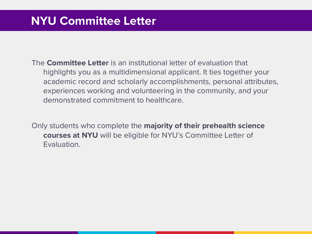# NYU Committee Letter

The Committee Letter is an institutional letter of evaluation that highlights you as a multidimensional applicant. It ties together your academic record and scholarly accomplishments, personal attributes, experiences working and volunteering in the community, and your demonstrated commitment to healthcare.

Only students who complete the majority of their prehealth science courses at NYU will be eligible for NYU's Committee Letter of Evaluation.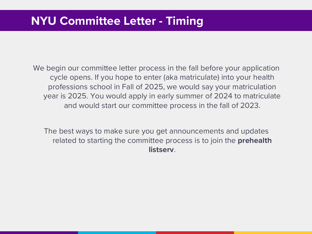# NYU Committee Letter - Timing

We begin our committee letter process in the fall before your application cycle opens. If you hope to enter (aka matriculate) into your health professions school in Fall of 2025, we would say your matriculation year is 2025. You would apply in early summer of 2024 to matriculate and would start our committee process in the fall of 2023.

The best ways to make sure you get announcements and updates related to starting the committee process is to join the **prehealth listserv**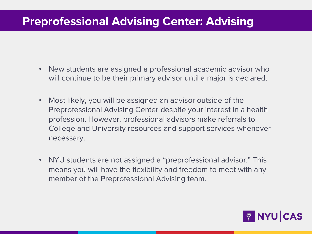# Preprofessional Advising Center: Advising

- New students are assigned a professional academic advisor who will continue to be their primary advisor until a major is declared.
- Most likely, you will be assigned an advisor outside of the Preprofessional Advising Center despite your interest in a health profession. However, professional advisors make referrals to College and University resources and support services whenever necessary.
- NYU students are not assigned a "preprofessional advisor." This means you will have the flexibility and freedom to meet with any member of the Preprofessional Advising team.

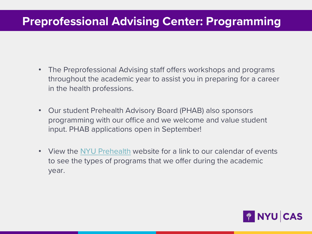# **Preprofessional Advising Center: Programmi**

- The Preprofessional Advising staff offers workshops and programs throughout the academic year to assist you in preparing for a care in the health professions.
- Our student Prehealth Advisory Board (PHAB) also sponsors programming with our office and we welcome and value student input. PHAB applications open in September!
- View the NYU Prehealth website for a link to our calendar of events to see the types of programs that we offer during the academic year.